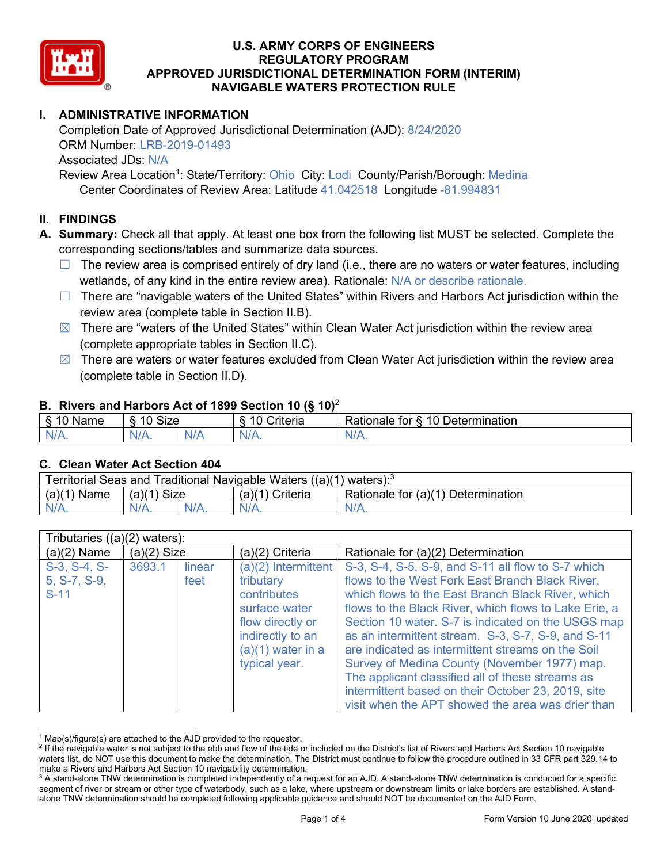

# **I. ADMINISTRATIVE INFORMATION**

Completion Date of Approved Jurisdictional Determination (AJD): 8/24/2020 ORM Number: LRB-2019-01493 Associated JDs: N/A Review Area Location<sup>1</sup>: State/Territory: Ohio City: Lodi County/Parish/Borough: Medina

Center Coordinates of Review Area: Latitude 41.042518 Longitude -81.994831

#### **II. FINDINGS**

**A. Summary:** Check all that apply. At least one box from the following list MUST be selected. Complete the corresponding sections/tables and summarize data sources.

- $\Box$  The review area is comprised entirely of dry land (i.e., there are no waters or water features, including wetlands, of any kind in the entire review area). Rationale: N/A or describe rationale.
- $\Box$  There are "navigable waters of the United States" within Rivers and Harbors Act jurisdiction within the review area (complete table in Section II.B).
- $\boxtimes$  There are "waters of the United States" within Clean Water Act jurisdiction within the review area (complete appropriate tables in Section II.C).
- $\boxtimes$  There are waters or water features excluded from Clean Water Act jurisdiction within the review area (complete table in Section II.D).

#### **B. Rivers and Harbors Act of 1899 Section 10 (§ 10)**<sup>2</sup>

| <b>Size</b><br>. .<br>$\overline{A}$<br>10<br>$\overline{\phantom{a}}$<br>10<br>Determination<br>Criteria<br>tor<br>≺atıonale<br>Name<br>∘<br>. . |  |
|---------------------------------------------------------------------------------------------------------------------------------------------------|--|
| N/L<br>11A<br>'N/A.<br>ъ.<br>ND<br>17. TV<br>$\mathbf{v}$<br>- 30                                                                                 |  |

#### **C. Clean Water Act Section 404**

| Territorial Seas and Traditional Navigable Waters $((a)(1)$ waters): <sup>3</sup> |                    |  |                   |                                    |  |  |
|-----------------------------------------------------------------------------------|--------------------|--|-------------------|------------------------------------|--|--|
| (a)(1)<br>Name                                                                    | Size<br>(a)(1)     |  | $(a)(1)$ Criteria | Rationale for (a)(1) Determination |  |  |
|                                                                                   | $N/A$ .<br>$N/A$ . |  | $N/A$ .           | $N/A$ .                            |  |  |

| Tributaries $((a)(2)$ waters):           |                          |  |                                                                                                                                                    |                                                                                                                                                                                                                                                                                                                                                                                                                                                                                                                                                                                                     |  |  |  |  |
|------------------------------------------|--------------------------|--|----------------------------------------------------------------------------------------------------------------------------------------------------|-----------------------------------------------------------------------------------------------------------------------------------------------------------------------------------------------------------------------------------------------------------------------------------------------------------------------------------------------------------------------------------------------------------------------------------------------------------------------------------------------------------------------------------------------------------------------------------------------------|--|--|--|--|
| $(a)(2)$ Name                            | $(a)(2)$ Size            |  | (a)(2) Criteria                                                                                                                                    | Rationale for (a)(2) Determination                                                                                                                                                                                                                                                                                                                                                                                                                                                                                                                                                                  |  |  |  |  |
| S-3, S-4, S-<br>$5, S-7, S-9,$<br>$S-11$ | 3693.1<br>linear<br>feet |  | $(a)(2)$ Intermittent<br>tributary<br>contributes<br>surface water<br>flow directly or<br>indirectly to an<br>$(a)(1)$ water in a<br>typical year. | S-3, S-4, S-5, S-9, and S-11 all flow to S-7 which<br>flows to the West Fork East Branch Black River,<br>which flows to the East Branch Black River, which<br>flows to the Black River, which flows to Lake Erie, a<br>Section 10 water. S-7 is indicated on the USGS map<br>as an intermittent stream. S-3, S-7, S-9, and S-11<br>are indicated as intermittent streams on the Soil<br>Survey of Medina County (November 1977) map.<br>The applicant classified all of these streams as<br>intermittent based on their October 23, 2019, site<br>visit when the APT showed the area was drier than |  |  |  |  |

 $1$  Map(s)/figure(s) are attached to the AJD provided to the requestor.

<sup>&</sup>lt;sup>2</sup> If the navigable water is not subject to the ebb and flow of the tide or included on the District's list of Rivers and Harbors Act Section 10 navigable waters list, do NOT use this document to make the determination. The District must continue to follow the procedure outlined in 33 CFR part 329.14 to make a Rivers and Harbors Act Section 10 navigability determination.

<sup>&</sup>lt;sup>3</sup> A stand-alone TNW determination is completed independently of a request for an AJD. A stand-alone TNW determination is conducted for a specific segment of river or stream or other type of waterbody, such as a lake, where upstream or downstream limits or lake borders are established. A standalone TNW determination should be completed following applicable guidance and should NOT be documented on the AJD Form.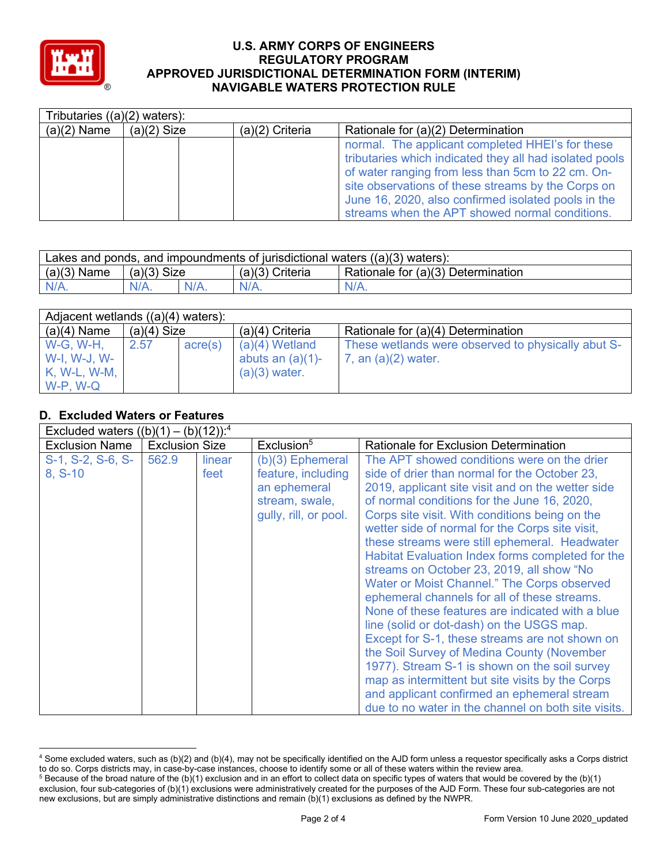

| Tributaries $((a)(2)$ waters): |               |                   |                                                                                                                                                                                                                                                                                                                                 |  |  |  |
|--------------------------------|---------------|-------------------|---------------------------------------------------------------------------------------------------------------------------------------------------------------------------------------------------------------------------------------------------------------------------------------------------------------------------------|--|--|--|
| $(a)(2)$ Name                  | $(a)(2)$ Size | $(a)(2)$ Criteria | Rationale for (a)(2) Determination                                                                                                                                                                                                                                                                                              |  |  |  |
|                                |               |                   | normal. The applicant completed HHEI's for these<br>tributaries which indicated they all had isolated pools<br>of water ranging from less than 5cm to 22 cm. On-<br>site observations of these streams by the Corps on<br>June 16, 2020, also confirmed isolated pools in the<br>streams when the APT showed normal conditions. |  |  |  |

| Lakes and ponds, and impoundments of jurisdictional waters $((a)(3)$ waters): |               |         |                   |                                    |  |  |
|-------------------------------------------------------------------------------|---------------|---------|-------------------|------------------------------------|--|--|
| $(a)(3)$ Name                                                                 | $(a)(3)$ Size |         | $(a)(3)$ Criteria | Rationale for (a)(3) Determination |  |  |
| $N/A$ .                                                                       | $N/A$ .       | $N/A$ . | $N/A$ .           | $N/A$ .                            |  |  |

| Adjacent wetlands ((a)(4) waters):                             |               |         |                                                            |                                                                             |  |  |  |
|----------------------------------------------------------------|---------------|---------|------------------------------------------------------------|-----------------------------------------------------------------------------|--|--|--|
| $(a)(4)$ Name                                                  | $(a)(4)$ Size |         | $(a)(4)$ Criteria                                          | Rationale for (a)(4) Determination                                          |  |  |  |
| <b>W-G, W-H,</b><br>W-I, W-J, W-<br>K, W-L, W-M,<br>$W-P, W-Q$ | 2.57          | acre(s) | $(a)(4)$ Wetland<br>abuts an $(a)(1)$ -<br>$(a)(3)$ water. | These wetlands were observed to physically abut S-<br>7, an $(a)(2)$ water. |  |  |  |

#### **D. Excluded Waters or Features**  $\Gamma$  Evaluded waters  $\Gamma$ (b)(1)  $\Gamma$  (b)(12)):4

| EXCluded Waters $((D)(T) - (D)(TZ))$ . |                       |        |                        |                                                     |
|----------------------------------------|-----------------------|--------|------------------------|-----------------------------------------------------|
| <b>Exclusion Name</b>                  | <b>Exclusion Size</b> |        | Exclusion <sup>5</sup> | <b>Rationale for Exclusion Determination</b>        |
| S-1, S-2, S-6, S-                      | 562.9                 | linear | $(b)(3)$ Ephemeral     | The APT showed conditions were on the drier         |
| $8, S-10$                              |                       | feet   | feature, including     | side of drier than normal for the October 23,       |
|                                        |                       |        | an ephemeral           | 2019, applicant site visit and on the wetter side   |
|                                        |                       |        | stream, swale,         | of normal conditions for the June 16, 2020,         |
|                                        |                       |        | gully, rill, or pool.  | Corps site visit. With conditions being on the      |
|                                        |                       |        |                        | wetter side of normal for the Corps site visit,     |
|                                        |                       |        |                        | these streams were still ephemeral. Headwater       |
|                                        |                       |        |                        | Habitat Evaluation Index forms completed for the    |
|                                        |                       |        |                        | streams on October 23, 2019, all show "No           |
|                                        |                       |        |                        | Water or Moist Channel." The Corps observed         |
|                                        |                       |        |                        | ephemeral channels for all of these streams.        |
|                                        |                       |        |                        | None of these features are indicated with a blue    |
|                                        |                       |        |                        | line (solid or dot-dash) on the USGS map.           |
|                                        |                       |        |                        | Except for S-1, these streams are not shown on      |
|                                        |                       |        |                        | the Soil Survey of Medina County (November          |
|                                        |                       |        |                        | 1977). Stream S-1 is shown on the soil survey       |
|                                        |                       |        |                        | map as intermittent but site visits by the Corps    |
|                                        |                       |        |                        | and applicant confirmed an ephemeral stream         |
|                                        |                       |        |                        | due to no water in the channel on both site visits. |

<sup>4</sup> Some excluded waters, such as (b)(2) and (b)(4), may not be specifically identified on the AJD form unless a requestor specifically asks a Corps district to do so. Corps districts may, in case-by-case instances, choose to identify some or all of these waters within the review area.

 $5$  Because of the broad nature of the (b)(1) exclusion and in an effort to collect data on specific types of waters that would be covered by the (b)(1) exclusion, four sub-categories of (b)(1) exclusions were administratively created for the purposes of the AJD Form. These four sub-categories are not new exclusions, but are simply administrative distinctions and remain (b)(1) exclusions as defined by the NWPR.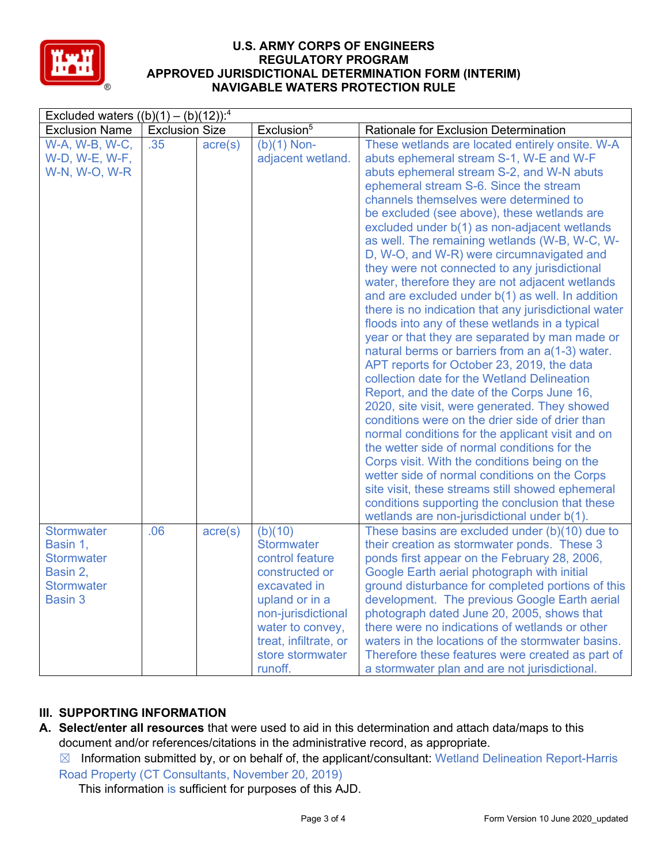

| Excluded waters $((b)(1) - (b)(12))$ : <sup>4</sup>                                            |                       |                  |                                                                                                                                                                                                       |                                                                                                                                                                                                                                                                                                                                                                                                                                                                                                                                                                                                                                                                                                                                                                                                                                                                                                                                                                                                                                                                                                                                                                                                                                                                                                                                                                                                            |  |  |  |  |  |
|------------------------------------------------------------------------------------------------|-----------------------|------------------|-------------------------------------------------------------------------------------------------------------------------------------------------------------------------------------------------------|------------------------------------------------------------------------------------------------------------------------------------------------------------------------------------------------------------------------------------------------------------------------------------------------------------------------------------------------------------------------------------------------------------------------------------------------------------------------------------------------------------------------------------------------------------------------------------------------------------------------------------------------------------------------------------------------------------------------------------------------------------------------------------------------------------------------------------------------------------------------------------------------------------------------------------------------------------------------------------------------------------------------------------------------------------------------------------------------------------------------------------------------------------------------------------------------------------------------------------------------------------------------------------------------------------------------------------------------------------------------------------------------------------|--|--|--|--|--|
| <b>Exclusion Name</b>                                                                          | <b>Exclusion Size</b> |                  | Exclusion <sup>5</sup>                                                                                                                                                                                | Rationale for Exclusion Determination                                                                                                                                                                                                                                                                                                                                                                                                                                                                                                                                                                                                                                                                                                                                                                                                                                                                                                                                                                                                                                                                                                                                                                                                                                                                                                                                                                      |  |  |  |  |  |
| W-A, W-B, W-C,<br>W-D, W-E, W-F,<br>W-N, W-O, W-R                                              | .35                   | $\text{acre}(s)$ | $(b)(1)$ Non-<br>adjacent wetland.                                                                                                                                                                    | These wetlands are located entirely onsite. W-A<br>abuts ephemeral stream S-1, W-E and W-F<br>abuts ephemeral stream S-2, and W-N abuts<br>ephemeral stream S-6. Since the stream<br>channels themselves were determined to<br>be excluded (see above), these wetlands are<br>excluded under b(1) as non-adjacent wetlands<br>as well. The remaining wetlands (W-B, W-C, W-<br>D, W-O, and W-R) were circumnavigated and<br>they were not connected to any jurisdictional<br>water, therefore they are not adjacent wetlands<br>and are excluded under b(1) as well. In addition<br>there is no indication that any jurisdictional water<br>floods into any of these wetlands in a typical<br>year or that they are separated by man made or<br>natural berms or barriers from an a(1-3) water.<br>APT reports for October 23, 2019, the data<br>collection date for the Wetland Delineation<br>Report, and the date of the Corps June 16,<br>2020, site visit, were generated. They showed<br>conditions were on the drier side of drier than<br>normal conditions for the applicant visit and on<br>the wetter side of normal conditions for the<br>Corps visit. With the conditions being on the<br>wetter side of normal conditions on the Corps<br>site visit, these streams still showed ephemeral<br>conditions supporting the conclusion that these<br>wetlands are non-jurisdictional under b(1). |  |  |  |  |  |
| <b>Stormwater</b><br>Basin 1,<br><b>Stormwater</b><br>Basin 2,<br><b>Stormwater</b><br>Basin 3 | .06                   | $\text{acre}(s)$ | (b)(10)<br><b>Stormwater</b><br>control feature<br>constructed or<br>excavated in<br>upland or in a<br>non-jurisdictional<br>water to convey,<br>treat, infiltrate, or<br>store stormwater<br>runoff. | These basins are excluded under (b)(10) due to<br>their creation as stormwater ponds. These 3<br>ponds first appear on the February 28, 2006,<br>Google Earth aerial photograph with initial<br>ground disturbance for completed portions of this<br>development. The previous Google Earth aerial<br>photograph dated June 20, 2005, shows that<br>there were no indications of wetlands or other<br>waters in the locations of the stormwater basins.<br>Therefore these features were created as part of<br>a stormwater plan and are not jurisdictional.                                                                                                                                                                                                                                                                                                                                                                                                                                                                                                                                                                                                                                                                                                                                                                                                                                               |  |  |  |  |  |

# **III. SUPPORTING INFORMATION**

- **A. Select/enter all resources** that were used to aid in this determination and attach data/maps to this document and/or references/citations in the administrative record, as appropriate.
	- $\boxtimes$  Information submitted by, or on behalf of, the applicant/consultant: Wetland Delineation Report-Harris Road Property (CT Consultants, November 20, 2019)

This information is sufficient for purposes of this AJD.